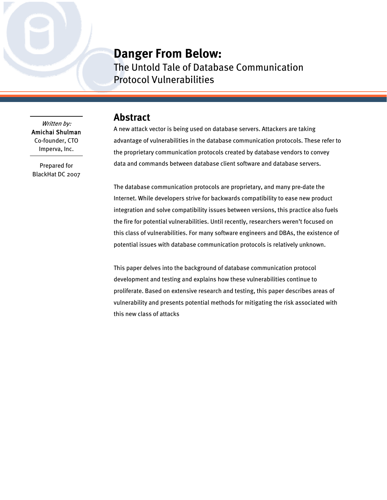## **Danger From Below:**

The Untold Tale of Database Communication Protocol Vulnerabilities

#### Written by: Amichai Shulman Co-founder, CTO Imperva, Inc.

Prepared for BlackHat DC 2007

## **Abstract**

A new attack vector is being used on database servers. Attackers are taking advantage of vulnerabilities in the database communication protocols. These refer to the proprietary communication protocols created by database vendors to convey data and commands between database client software and database servers.

The database communication protocols are proprietary, and many pre-date the Internet. While developers strive for backwards compatibility to ease new product integration and solve compatibility issues between versions, this practice also fuels the fire for potential vulnerabilities. Until recently, researchers weren't focused on this class of vulnerabilities. For many software engineers and DBAs, the existence of potential issues with database communication protocols is relatively unknown.

This paper delves into the background of database communication protocol development and testing and explains how these vulnerabilities continue to proliferate. Based on extensive research and testing, this paper describes areas of vulnerability and presents potential methods for mitigating the risk associated with this new class of attacks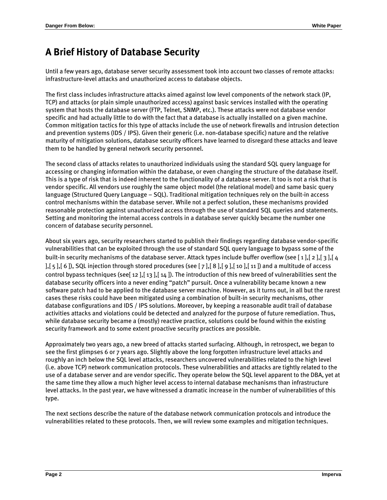# **A Brief History of Database Security**

Until a few years ago, database server security assessment took into account two classes of remote attacks: infrastructure-level attacks and unauthorized access to database objects.

The first class includes infrastructure attacks aimed against low level components of the network stack (IP, TCP) and attacks (or plain simple unauthorized access) against basic services installed with the operating system that hosts the database server (FTP, Telnet, SNMP, etc.). These attacks were not database vendor specific and had actually little to do with the fact that a database is actually installed on a given machine. Common mitigation tactics for this type of attacks include the use of network firewalls and intrusion detection and prevention systems (IDS / IPS). Given their generic (i.e. non-database specific) nature and the relative maturity of mitigation solutions, database security officers have learned to disregard these attacks and leave them to be handled by general network security personnel.

The second class of attacks relates to unauthorized individuals using the standard SQL query language for accessing or changing information within the database, or even changing the structure of the database itself. This is a type of risk that is indeed inherent to the functionality of a database server. It too is not a risk that is vendor specific. All vendors use roughly the same object model (the relational model) and same basic query language (Structured Query Language – SQL). Traditional mitigation techniques rely on the built-in access control mechanisms within the database server. While not a perfect solution, these mechanisms provided reasonable protection against unauthorized access through the use of standard SQL queries and statements. Setting and monitoring the internal access controls in a database server quickly became the number one concern of database security personnel.

About six years ago, security researchers started to publish their findings regarding database vendor-specific vulnerabilities that can be exploited through the use of standard SQL query language to bypass some of the built-in security mechanisms of the database server. Attack types include buffer overflow (see [\[ 1](#page-15-0)  ],[ 2 ],[ 3 ],[ 4 [\],](#page-15-0)[\[ 5 \],](#page-15-1)[\[ 6 \]](#page-15-2)), SQL injection through stored procedures (see [\[ 7 \],](#page-15-3)[\[ 8 \],](#page-15-4)[\[ 9 \],](#page-15-5)[\[ 10 \],](#page-15-6)[\[ 11 \]](#page-15-7)) and a multitude of acce ss control bypass techniques (se[e\[ 12 \],](#page-15-8)[\[ 13 \]](#page-15-9)[,\[ 14 \]\)](#page-15-10). The introduction of this new breed of vulnerabilities sent the database security officers into a never ending "patch" pursuit. Once a vulnerability became known a new software patch had to be applied to the database server machine. However, as it turns out, in all but the rarest cases these risks could have been mitigated using a combination of built-in security mechanisms, other database configurations and IDS / IPS solutions. Moreover, by keeping a reasonable audit trail of database activities attacks and violations could be detected and analyzed for the purpose of future remediation. Thus, while database security became a (mostly) reactive practice, solutions could be found within the existing security framework and to some extent proactive security practices are possible.

Approximately two years ago, a new breed of attacks started surfacing. Although, in retrospect, we began to see the first glimpses 6 or 7 years ago. Slightly above the long forgotten infrastructure level attacks and roughly an inch below the SQL level attacks, researchers uncovered vulnerabilities related to the high level (i.e. above TCP) network communication protocols. These vulnerabilities and attacks are tightly related to the use of a database server and are vendor specific. They operate below the SQL level apparent to the DBA, yet at the same time they allow a much higher level access to internal database mechanisms than infrastructure level attacks. In the past year, we have witnessed a dramatic increase in the number of vulnerabilities of this type.

The next sections describe the nature of the database network communication protocols and introduce the vulnerabilities related to these protocols. Then, we will review some examples and mitigation techniques.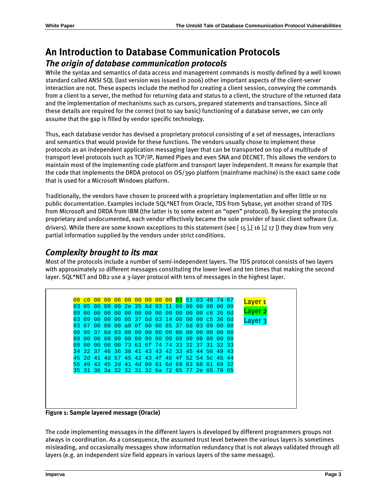## **An Introduction to Database Communication Protocols**  *The origin of database communication protocols*

While the syntax and semantics of data access and management commands is mostly defined by a well known standard called ANSI SQL (last version was issued in 2006) other important aspects of the client-server interaction are not. These aspects include the method for creating a client session, conveying the commands from a client to a server, the method for returning data and status to a client, the structure of the returned data and the implementation of mechanisms such as cursors, prepared statements and transactions. Since all these details are required for the correct (not to say basic) functioning of a database server, we can only assume that the gap is filled by vendor specific technology.

Thus, each database vendor has devised a proprietary protocol consisting of a set of messages, interactions and semantics that would provide for these functions. The vendors usually chose to implement these protocols as an independent application messaging layer that can be transported on top of a multitude of transport level protocols such as TCP/IP, Named Pipes and even SNA and DECNET. This allows the vendors to maintain most of the implementing code platform and transport layer independent. It means for example that the code that implements the DRDA protocol on OS/390 platform (mainframe machine) is the exact same code that is used for a Microsoft Windows platform.

Traditionally, the vendors have chosen to proceed with a proprietary implementation and offer little or no public documentation. Examples include SQL\*NET from Oracle, TDS from Sybase, yet another strand of TDS from Microsoft and DRDA from IBM (the latter is to some extent an "open" protocol). By keeping the protocols proprietary and undocumented, each vendor effectively became the sole provider of basic client software (i.e. drivers). While there are some known exceptions to this statement (see [15],[16],[17]) they draw from very partial information supplied by the vendors under strict conditions.

## *Complexity brought to its max*

Most of the protocols include a number of semi-independent layers. The TDS protocol consists of two layers with approximately 10 different messages constituting the lower level and ten times that making the second layer. SQL\*NET and DB2 use a 3-layer protocol with tens of messages in the highest layer.

Layer 1 Layer 2 Laver<sub>3</sub> 00 c0 00 00 06 00 00 00 00 00 03 51 03 40 74 67 03 05 00 00 00 2e 35 6d 03 11 00 00 00 00 00 00 00 00 00 00 00 00 00 00 00 00 00 00 00 c6 35 6d 03 09 00 00 00 05 37 6d 03 14 00 00 00 c5 36 6d 03 07 00 00 00 a0 0f 00 00 85 37 6d 03 09 00 00 00 95 37 6d 03 08 00 00 00 00 00 00 00 00 00 00 00 00 00 00 00 00 00 00 00 00 00 00 00 00 00 00 00 00 00 00 00 73 63 6f 74 74 33 32 37 31 32 33 34 32 37 46 36 36 41 43 43 42 33 45 44 56 49 43 45 2d 41 4d 57 45 42 43 4f 48 4f 52 54 5c 45 44 56 49 43 45 2d 41 4d 00 61 6d 69 63 68 61 69 32 35 31 36 3a 32 32 31 32 6a 72 65 77 2e 65 78 65

**Figure 1: Sample layered message (Oracle)** 

The code implementing messages in the different layers is developed by different programmers groups not always in coordination. As a consequence, the assumed trust level between the various layers is sometimes misleading, and occasionally messages show information redundancy that is not always validated through all layers (e.g. an independent size field appears in various layers of the same message).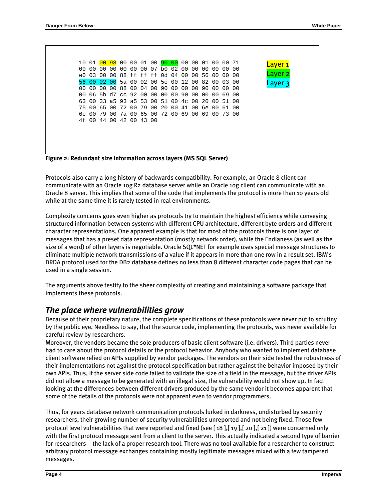| 10 01 <mark>00 98</mark> 00 00 01 00 <mark>90 00</mark> 00 00 01 00 00 71<br><u>Layer 1</u><br>00 00 00 00 00 07 b0 02 00 00 00 00 00 00<br>00 00<br>Layer 2<br>e0 03 00 00 88 ff ff ff 0d 04 00 00 56 00 00 00<br>56 00 02 00 5a 00 02 00 5e 00 12 00 82 00 03 00<br>Layer 3<br>00 00 00 00 88 00 04 00 90 00 00 00 90 00 00<br>. വ<br>00 06 5b d7 cc 92 00 00 00 00 90 00 00 00 69 00<br>63 00 33 a5 93 a5 53 00 51 00 4c 00 20 00 51 00<br>75 00 65 00 72 00 79 00 20 00 41 00 6e 00 61 00<br>6c 00 79 00 7a 00 65 00 72 00 69 00 69 00 73 00<br>4f 00 44 00 42 00 43 00 |  |  |  |  |  |  |  |  |  |
|-----------------------------------------------------------------------------------------------------------------------------------------------------------------------------------------------------------------------------------------------------------------------------------------------------------------------------------------------------------------------------------------------------------------------------------------------------------------------------------------------------------------------------------------------------------------------------|--|--|--|--|--|--|--|--|--|
|                                                                                                                                                                                                                                                                                                                                                                                                                                                                                                                                                                             |  |  |  |  |  |  |  |  |  |
|                                                                                                                                                                                                                                                                                                                                                                                                                                                                                                                                                                             |  |  |  |  |  |  |  |  |  |
|                                                                                                                                                                                                                                                                                                                                                                                                                                                                                                                                                                             |  |  |  |  |  |  |  |  |  |
|                                                                                                                                                                                                                                                                                                                                                                                                                                                                                                                                                                             |  |  |  |  |  |  |  |  |  |
|                                                                                                                                                                                                                                                                                                                                                                                                                                                                                                                                                                             |  |  |  |  |  |  |  |  |  |
|                                                                                                                                                                                                                                                                                                                                                                                                                                                                                                                                                                             |  |  |  |  |  |  |  |  |  |
|                                                                                                                                                                                                                                                                                                                                                                                                                                                                                                                                                                             |  |  |  |  |  |  |  |  |  |
|                                                                                                                                                                                                                                                                                                                                                                                                                                                                                                                                                                             |  |  |  |  |  |  |  |  |  |
|                                                                                                                                                                                                                                                                                                                                                                                                                                                                                                                                                                             |  |  |  |  |  |  |  |  |  |
|                                                                                                                                                                                                                                                                                                                                                                                                                                                                                                                                                                             |  |  |  |  |  |  |  |  |  |
|                                                                                                                                                                                                                                                                                                                                                                                                                                                                                                                                                                             |  |  |  |  |  |  |  |  |  |
|                                                                                                                                                                                                                                                                                                                                                                                                                                                                                                                                                                             |  |  |  |  |  |  |  |  |  |
|                                                                                                                                                                                                                                                                                                                                                                                                                                                                                                                                                                             |  |  |  |  |  |  |  |  |  |
|                                                                                                                                                                                                                                                                                                                                                                                                                                                                                                                                                                             |  |  |  |  |  |  |  |  |  |

<span id="page-3-0"></span>

Protocols also carry a long history of backwards compatibility. For example, an Oracle 8 client can communicate with an Oracle 10g R2 database server while an Oracle 10g client can communicate with an Oracle 8 server. This implies that some of the code that implements the protocol is more than 10 years old while at the same time it is rarely tested in real environments.

Complexity concerns goes even higher as protocols try to maintain the highest efficiency while conveying structured information between systems with different CPU architecture, different byte orders and different character representations. One apparent example is that for most of the protocols there is one layer of messages that has a preset data representation (mostly network order), while the Endianess (as well as the size of a word) of other layers is negotiable. Oracle SQL\*NET for example uses special message structures to eliminate multiple network transmissions of a value if it appears in more than one row in a result set. IBM's DRDA protocol used for the DB2 database defines no less than 8 different character code pages that can be used in a single session.

The arguments above testify to the sheer complexity of creating and maintaining a software package that implements these protocols.

### *The place where vulnerabilities grow*

Because of their proprietary nature, the complete specifications of these protocols were never put to scrutiny by the public eye. Needless to say, that the source code, implementing the protocols, was never available for careful review by researchers.

Moreover, the vendors became the sole producers of basic client software (i.e. drivers). Third parties never had to care about the protocol details or the protocol behavior. Anybody who wanted to implement database client software relied on APIs supplied by vendor packages. The vendors on their side tested the robustness of their implementations not against the protocol specification but rather against the behavior imposed by their own APIs. Thus, if the server side code failed to validate the size of a field in the message, but the driver APIs did not allow a message to be generated with an illegal size, the vulnerability would not show up. In fact looking at the differences between different drivers produced by the same vendor it becomes apparent that some of the details of the protocols were not apparent even to vendor programmers.

Thus, for years database network communication protocols lurked in darkness, undisturbed by security researchers, their growing number of security vulnerabilities unreported and not being fixed. Those few protocol level vulnerabilities that were reported and fixed (see [18],[19],[20],[21]) were concerned only with the first protocol message sent from a client to the server. This actually indicated a second type of ba rrier for researchers – the lack of a proper research tool. There was no tool available for a researcher to construct arbitrary protocol message exchanges containing mostly legitimate messages mixed with a few tampered messages.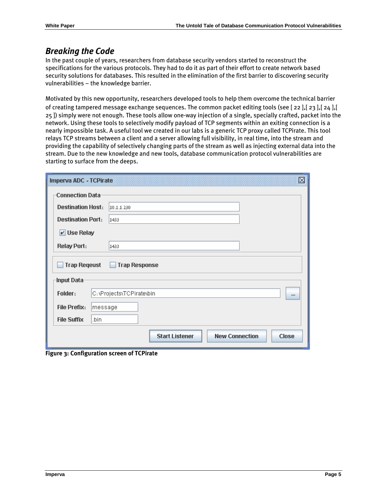### *Breaking the Code*

In the past couple of years, researchers from database security vendors started to reconstruct the specifications for the various protocols. They had to do it as part of their effort to create network based security solutions for databases. This resulted in the elimination of the first barrier to discovering security vulnerabilities – the knowledge barrier.

Motivated by this new opportunity, researchers developed tools to help them overcome the technical barrier of creating tampered message exchange sequences. The common packet editing tools (see [\[ 22 \],](#page-15-18)[\[ 23 \]](#page-15-19)[,\[ 24 \]](#page-15-20)[,\[](#page-15-21)  [25 \]](#page-15-21)) simply were not enough. These tools allow one-way injection of a single, specially crafted, packet into the network. Using these tools to selectively modify payload of TCP segments within an exiting connection is a nearly impossible task. A useful tool we created in our labs is a generic TCP proxy called TCPirate. This tool relays TCP streams between a client and a server allowing full visibility, in real time, into the stream and providing the capability of selectively changing parts of the stream as well as injecting external data into the stream. Due to the new knowledge and new tools, database communication protocol vulnerabilities are starting to surface from the deeps.

| Imperva ADC - TCPirate         | 図                                                              |
|--------------------------------|----------------------------------------------------------------|
| <b>Connection Data</b>         |                                                                |
| <b>Destination Host:</b>       | 10.1.1.230                                                     |
| <b>Destination Port:</b>       | 1433                                                           |
| $V$ Use Relay                  |                                                                |
| Relay Port:                    | 1433                                                           |
| <b>Trap Reqeust</b>            | <b>Trap Response</b>                                           |
| Input Data                     |                                                                |
| Folder:                        | C: \Projects\TCPirate\bin<br><b>LLL</b>                        |
| <b>File Prefix:</b><br>message |                                                                |
| <b>File Suffix</b><br>.bin     |                                                                |
|                                | <b>Start Listener</b><br><b>New Connection</b><br><b>Close</b> |

**Figure 3: Configuration screen of TCPirate**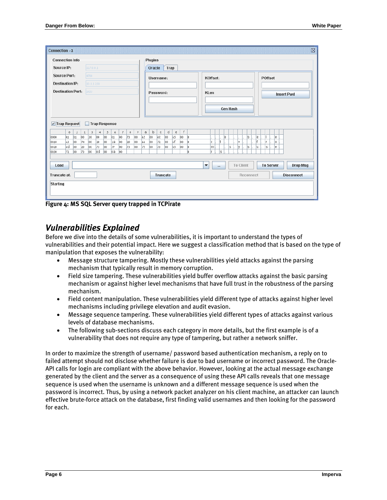| Connection - 2                                                |                                                                                                                       |                                                                                   |                                                      | 区                                   |  |  |  |
|---------------------------------------------------------------|-----------------------------------------------------------------------------------------------------------------------|-----------------------------------------------------------------------------------|------------------------------------------------------|-------------------------------------|--|--|--|
| <b>Connection Info</b>                                        |                                                                                                                       | <b>Plugins</b>                                                                    |                                                      |                                     |  |  |  |
| Source IP:                                                    | 127.0.0.1                                                                                                             | Oracle<br>Trap                                                                    |                                                      |                                     |  |  |  |
| Source Port:                                                  | 4708                                                                                                                  | Username:                                                                         | KOffset:                                             | POffset                             |  |  |  |
| Destination IP:                                               | 10.1.1.230                                                                                                            |                                                                                   |                                                      |                                     |  |  |  |
| <b>Destination Port:</b>                                      | 1433                                                                                                                  | Password:                                                                         | KLen                                                 | <b>Insert Pwd</b>                   |  |  |  |
|                                                               |                                                                                                                       |                                                                                   |                                                      |                                     |  |  |  |
|                                                               |                                                                                                                       |                                                                                   | <b>Gen Hash</b>                                      |                                     |  |  |  |
|                                                               |                                                                                                                       |                                                                                   |                                                      |                                     |  |  |  |
| <b>Trap Request</b><br>$\sqrt{2}$                             | <b>Trap Response</b>                                                                                                  |                                                                                   |                                                      |                                     |  |  |  |
| $\,0\,$<br>$\mathbf{1}$<br> 01 <br>$ 01\rangle$<br>00<br>0000 | $^{\circ}$<br>3<br>5<br>$\epsilon$<br>$\overline{\epsilon}$<br>9<br>2<br>4<br>38<br>00<br>00<br>73<br>00<br> 01<br>00 | f<br>b<br>d<br>a<br>$_{\rm e}$<br>$\mathbb C$<br>6C<br>65<br>00<br>00<br>65<br>00 | ls.<br>18                                            | le.<br>le.                          |  |  |  |
| 74<br>63<br>00<br>0010                                        | 00<br>20<br>00<br>20<br>00<br>lza<br>$ 00\rangle$                                                                     | 6f<br>66<br>72<br>00<br>00<br>00                                                  | It.<br>c<br>l*                                       | f.<br>Ir.<br>lo.                    |  |  |  |
| l6d<br>20<br>00<br>0020<br>72<br>73<br>00<br>0030             | 73<br>00<br>73<br>79<br> 00<br> 00<br>00<br>lod<br>00<br>loo<br>$ 00\rangle$<br>lo a                                  | 65<br>75<br>73<br>$ 00\rangle$<br>loo<br>00                                       | lm<br>s<br>I۷<br>ls.<br>ls.<br>r                     | ls.<br>le.<br>u                     |  |  |  |
|                                                               |                                                                                                                       |                                                                                   |                                                      |                                     |  |  |  |
| Load                                                          |                                                                                                                       |                                                                                   | <b>To Client</b><br>$\blacktriangledown$<br>$\cdots$ | <b>Drop Msg</b><br><b>To Server</b> |  |  |  |
| Truncate at:                                                  |                                                                                                                       | <b>Truncate</b>                                                                   | Reconnect                                            | <b>Disconnect</b>                   |  |  |  |
| Starting                                                      |                                                                                                                       |                                                                                   |                                                      |                                     |  |  |  |
|                                                               |                                                                                                                       |                                                                                   |                                                      |                                     |  |  |  |
|                                                               |                                                                                                                       |                                                                                   |                                                      |                                     |  |  |  |

**Figure 4: MS SQL Server query trapped in TCPirate** 

#### *Vulnerabilities Explained*

Before we dive into the details of some vulnerabilities, it is important to understand the types of vulnerabilities and their potential impact. Here we suggest a classification method that is based on the type of manipulation that exposes the vulnerability:

- Message structure tampering. Mostly these vulnerabilities yield attacks against the parsing mechanism that typically result in memory corruption.
- Field size tampering. These vulnerabilities yield buffer overflow attacks against the basic parsing mechanism or against higher level mechanisms that have full trust in the robustness of the parsing mechanism.
- Field content manipulation. These vulnerabilities yield different type of attacks against higher level mechanisms including privilege elevation and audit evasion.
- Message sequence tampering. These vulnerabilities yield different types of attacks against various levels of database mechanisms.
- The following sub-sections discuss each category in more details, but the first example is of a vulnerability that does not require any type of tampering, but rather a network sniffer.

In order to maximize the strength of username/ password based authentication mechanism, a reply on to failed attempt should not disclose whether failure is due to bad username or incorrect password. The Oracle-API calls for login are compliant with the above behavior. However, looking at the actual message exchange generated by the client and the server as a consequence of using these API calls reveals that one message sequence is used when the username is unknown and a different message sequence is used when the password is incorrect. Thus, by using a network packet analyzer on his client machine, an attacker can launch effective brute-force attack on the database, first finding valid usernames and then looking for the password for each.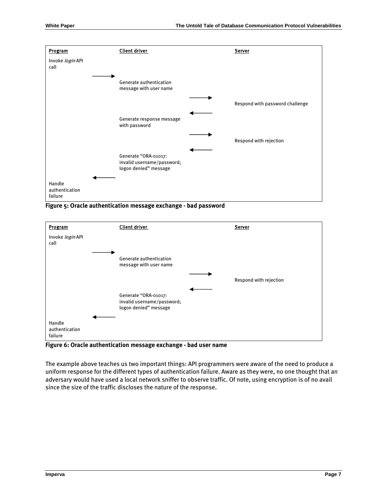

**Figure 5: Oracle authentication message exchange - bad password** 



**Figure 6: Oracle authentication message exchange - bad user name** 

The example above teaches us two important things: API programmers were aware of the need to produce a uniform response for the different types of authentication failure. Aware as they were, no one thought that an adversary would have used a local network sniffer to observe traffic. Of note, using encryption is of no avail since the size of the traffic discloses the nature of the response.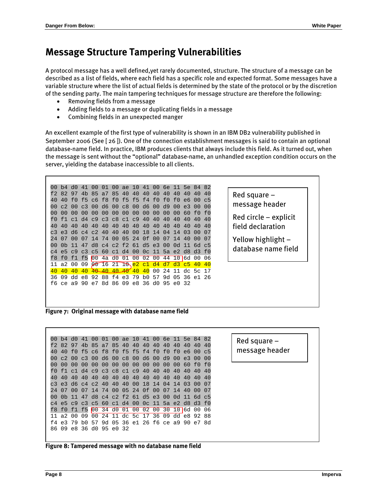## **Message Structure Tampering Vulnerabilities**

A protocol message has a well defined,yet rarely documented, structure. The structure of a message can be described as a list of fields, where each field has a specific role and expected format. Some messages have a variable structure where the list of actual fields is determined by the state of the protocol or by the discretion of the sending party. The main tampering techniques for message structure are therefore the following:

- Removing fields from a message
- Adding fields to a message or duplicating fields in a message
- Combining fields in an unexpected manger

An excellent example of the first type of vulnerability is shown in an IBM DB2 vulnerability published in September 2006 (See [\[ 26 \]\)](#page-15-22). One of the connection establishment messages is said to contain an optional database-name field. In practice, IBM produces clients that always include this field. As it turned out, when the message is sent without the "optional" database-name, an unhandled exception condition occurs on the server, yielding the database inaccessible to all clients.



**Figure 7: Original message with database name field** 

00 b4 d0 41 00 01 00 ae 10 41 00 6e 11 5e 84 82 f2 82 97 4b 85 a7 85 40 40 40 40 40 40 40 40 40 40 40 f0 f5 c6 f8 f0 f5 f5 f4 f0 f0 f0 e6 00 c5 00 c2 00 c3 00 d6 00 c8 00 d6 00 d9 00 e3 00 00 00 00 00 00 00 00 00 00 00 00 00 00 00 60 f0 f0 f0 f1 c1 d4 c9 c3 c8 c1 c9 40 40 40 40 40 40 40 40 40 40 40 40 40 40 40 40 40 40 40 40 40 40 40 c3 e3 d6 c4 c2 40 40 40 00 18 14 04 14 03 00 07 24 07 00 07 14 74 00 05 24 0f 00 07 14 40 00 07 00 0b 11 47 d8 c4 c2 f2 61 d5 e3 00 0d 11 6d c5 c4 e5 c9 c3 c5 60 c1 d4 00 0c 11 5a e2 d8 d3 f0 f8 f0 f1 f5 00 34 d0 01 00 02 00 30 10 6d 00 06 11 a2 00 09 00 24 11 dc 5c 17 36 09 dd e8 92 88 f4 e3 79 b0 57 9d 05 36 e1 26 f6 ce a9 90 e7 8d 86 09 e8 36 d0 95 e0 32



Red square – message header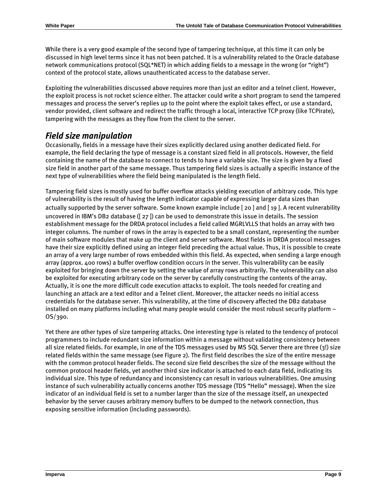While there is a very good example of the second type of tampering technique, at this time it can only be discussed in high level terms since it has not been patched. It is a vulnerability related to the Oracle database network communications protocol (SQL\*NET) in which adding fields to a message in the wrong (or "right") context of the protocol state, allows unauthenticated access to the database server.

Exploiting the vulnerabilities discussed above requires more than just an editor and a telnet client. However, the exploit process is not rocket science either. The attacker could write a short program to send the tampered messages and process the server's replies up to the point where the exploit takes effect, or use a standard, vendor provided, client software and redirect the traffic through a local, interactive TCP proxy (like TCPirate), tampering with the messages as they flow from the client to the server.

## *Field size manipulation*

Occasionally, fields in a message have their sizes explicitly declared using another dedicated field. For example, the field declaring the type of message is a constant sized field in all protocols. However, the field containing the name of the database to connect to tends to have a variable size. The size is given by a fixed size field in another part of the same message. Thus tampering field sizes is actually a specific instance of the next type of vulnerabilities where the field being manipulated is the length field.

Tampering field sizes is mostly used for buffer overflow attacks yielding execution of arbitrary code. This type of vulnerability is the result of having the length indicator capable of expressing larger data sizes than actually supported by the server software. Some known example include [\[ 20 \]](#page-15-16) and [\[ 19 \]](#page-15-15). A recent vulnerabilit y uncovered in IBM's DB2 database ([\[ 27 \]](#page-15-23)) can be used to demonstrate this issue in details. The session establishment message for the DRDA protocol includes a field called MGRLVLLS that holds an array with two integer columns. The number of rows in the array is expected to be a small constant, representing the number of main software modules that make up the client and server software. Most fields in DRDA protocol messages have their size explicitly defined using an integer field preceding the actual value. Thus, it is possible to create an array of a very large number of rows embedded within this field. As expected, when sending a large enough array (approx. 400 rows) a buffer overflow condition occurs in the server. This vulnerability can be easily exploited for bringing down the server by setting the value of array rows arbitrarily. The vulnerability can also be exploited for executing arbitrary code on the server by carefully constructing the contents of the array. Actually, it is one the more difficult code execution attacks to exploit. The tools needed for creating and launching an attack are a text editor and a Telnet client. Moreover, the attacker needs no initial access credentials for the database server. This vulnerability, at the time of discovery affected the DB2 database installed on many platforms including what many people would consider the most robust security platform – OS/390.

Yet there are other types of size tampering attacks. One interesting type is related to the tendency of protocol programmers to include redundant size information within a message without validating consistency between all size related fields. For example, in one of the TDS messages used by MS SQL Server there are three (3!) size related fields within the same message (see [Figure 2](#page-3-0)). The first field describes the size of the entire message with the common protocol header fields. The second size field describes the size of the message without the common protocol header fields, yet another third size indicator is attached to each data field, indicating its individual size. This type of redundancy and inconsistency can result in various vulnerabilities. One amusing instance of such vulnerability actually concerns another TDS message (TDS "Hello" message). When the size indicator of an individual field is set to a number larger than the size of the message itself, an unexpected behavior by the server causes arbitrary memory buffers to be dumped to the network connection, thus exposing sensitive information (including passwords).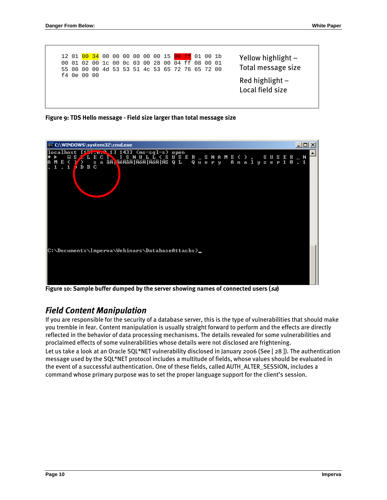| 55 00       |  | 12 01 00 34 00 00 00 00 00 00 15 00 ff 01 00 1b<br>01 02 00 1c 00 0c 03 00 28 00 04 ff 08 00 01<br>00 00 4d 53 53 51 4c 53 65 72 76 65 72 00 |  |  |  |  |  |  | Yellow highlight $-$<br>Total message size |
|-------------|--|----------------------------------------------------------------------------------------------------------------------------------------------|--|--|--|--|--|--|--------------------------------------------|
| £4 0e 00 00 |  |                                                                                                                                              |  |  |  |  |  |  | Red highlight $-$<br>Local field size      |

**Figure 9: TDS Hello message - Field size larger than total message size** 



**Figure 10: Sample buffer dumped by the server showing names of connected users (sa)** 

## *Field Content Manipulation*

If you are responsible for the security of a database server, this is the type of vulnerabilities that should make you tremble in fear. Content manipulation is usually straight forward to perform and the effects are directly reflected in the behavior of data processing mechanisms. The details revealed for some vulnerabilities and proclaimed effects of some vulnerabilities whose details were not disclosed are frightening. Let us take a look at an Oracle SQL\*NET vulnerability disclosed in January 2006 (See [28]). The authentication message used by the SQL\*NET protocol includes a multitude of fields, whose values should be evaluated in the event of a successful authentication. One of these fields, called AUTH\_ALTER\_SESSION, includes a command whose primary purpose was to set the proper language support for the client's session.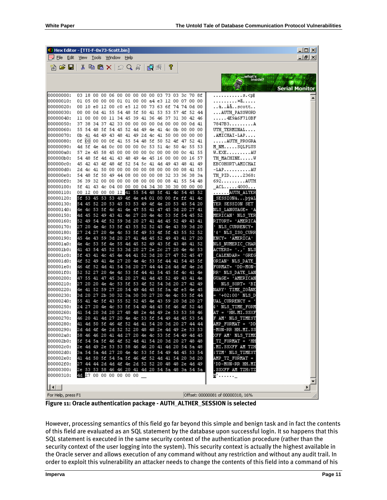|                                  | Mex Editor - [TTI-F-0x73-5cott.bin] ﴾                                                                                                      | $\Box$ o $\Box$       |
|----------------------------------|--------------------------------------------------------------------------------------------------------------------------------------------|-----------------------|
| Eile<br>Edit                     | <u>Tools W</u> indow <u>H</u> elp<br>View                                                                                                  | <u> 디리 ×</u>          |
| e H                              | * 电离×   Ω Q &   6R 5R                                                                                                                      |                       |
|                                  | what's<br><b>k</b> i inside?                                                                                                               | <b>Serial Monitor</b> |
| 00000000:                        | 03 18 00 00 06 00 00 00 00 00 03 73 03 3c 70 8f<br>$5.$                                                                                    |                       |
| 00000010:                        | . ¤ã.<br>01 05 00 00 00 01 01 00 00 a4 e3 12 00 07 00 00                                                                                   |                       |
| 00000020:                        | àÀå ${\tt scott}$<br>00 10 e0 12 00 c0 e5 12 00 73 63 6f 74 74 0d 00                                                                       |                       |
| 00000030:                        | 00 00 0d 41 55 54 48 5f 50 41 53 53 57 4f<br>AUTH PASSWORD<br>-52-44                                                                       |                       |
| 00000040:<br>00000050:           | 11 00 00 00 11 34 45 39 41 36 46 37 31 30 42 46<br>$\ldots$ . 4E9A6F710BF<br>37 38 34 37 42 33 00 00 00 00 00 0d 00 00 00 0d 41<br>7847B3A |                       |
| 00000060:                        | 55 54 48 5f 54 45 52 4d 49 4e 41 4c 0b 00 00 00<br>UTH TERMINAL                                                                            |                       |
| 00000070:                        | 0b 41 4d 49 43 48 41 49 2d 4c 41 50 00 00 00 00<br>.AMICHAI-LAP                                                                            |                       |
| 00000080:                        | Of 00 00 00 Of 41 55 54 48 5f 50 52 4f 47 52 41<br>AUTH PROGRA                                                                             |                       |
| 00000090:                        | 4d 5f 4e 4d 0c 00 00 00 0c 53 51 4c 50 4c 55 53<br>M NMSQLPLUS                                                                             |                       |
| 000000a0:                        | 57 2e 45 58 45 00 00 00 00 0c 00 00 00 0c 41 55<br>$W. EXE \ldots \ldots AU$                                                               |                       |
| 000000b0:                        | 54   48   5f   4d   41   43   48   49   4e   45   16   00   00   00   16   57<br>TH MACHINEW                                               |                       |
| 000000c0:                        | 45 42 43 4f 48 4f 52 54 5c 41 4d 49 43 48<br>41 49<br>EBCOHORT\AMICHAI                                                                     |                       |
| 000000d0:                        | 2d 4c 41 50 00 00 00 00 00 08 00 00 00 08 41 55<br>$-LAP$ $AU$                                                                             |                       |
| 000000e0:                        | 54 48 5f 50 49 44 08 00 00 00 08 32 33 36 38 3a<br>TH PID2368:                                                                             |                       |
| 000000£0 <b>:</b>                | 36 39 32 00 00 00 00 08 00 00 00 08 41 55 54 48<br>692AUTH                                                                                 |                       |
| 00000100:                        | 5f 41 43 4c 04 00 00 00 04 34 30 30 30 00 00 00<br>$ACL$ 4000                                                                              |                       |
| 00000110:                        | 00 12 00 00 00 12 41 55 54 48 5f 41 4c 54 45 52<br>. <mark>AUTH ALTER</mark>                                                               |                       |
| 00000120:                        | 5f 53 45 53 53 49 4f 4e e4 01 00 00 fe ff 41 4c<br>SESSIONäþÿAL                                                                            |                       |
| 00000130:                        | 54 45 52 20 53 45 53 53 49 4f 4e 20 53 45 54 20<br>TER SESSION SET                                                                         |                       |
| 00000140:                        | 4e 4c 53 5f 4c 4l 4e 47 55 4l 47 45 3d 20 27 4l<br>NLS_LANGUAGE= 'A                                                                        |                       |
| 00000150:                        | 4d 45 52 49 43 41 4e 27 20 4e 4c 53 5f 54 45 52<br>MERICAN' NLS_TER<br>52 49 54 4f 52 59 3d 20 27 41 4d 45 52 49 43 41                     |                       |
| 00000160:<br>00000170:           | RITORY= 'AMERICA<br>27 20 4e 4c 53 5f 43 55 52 52 45 4e 43 59 3d 20<br><b>NLS CURRENCY=</b>                                                |                       |
| 00000180:                        | 27.<br>24 27 20 4e 4c 53 5f 49 53 4f 5f 43 55 52 52<br>'\$' NLS ISO CURR                                                                   |                       |
| 00000190:                        | 45 4e 43 59 3d 20 27 41 4d 45 52 49 43 41 27 20<br>ENCY= 'AMERICA'                                                                         |                       |
| 000001a0:                        | 4e 4c 53 5f 4e 55 4d 45 52 49 43 5f 43 48 41 52<br>NLS NUMERIC CHAR                                                                        |                       |
| 000001b0:                        | 41 43 54 45 52 53 3d 20 27 2e 2c 27 20 4e<br>ACTERS= '.,' NLS<br>4c 53                                                                     |                       |
| 000001c0:                        | 5f 43 41 4c 45 4e 44 41 52 3d 20 27 47 52 45 47<br>CALENDAR= 'GREG                                                                         |                       |
| 000001d0:                        | 4f 52 49 41 4e 27 20 4e 4c 53 5f 44 41 54 45 5f<br>ORIAN' NLS DATE                                                                         |                       |
| 000001e0:                        | 46 4f 52 4d 41 54 3d 20 27 44 44 2d 4d 4f<br>4e 2d<br>FORMAT= 'DD-MON-                                                                     |                       |
| 000001f0:                        | 52 52 27 20 4e 4c 53 5f 44 41 54 45 5f 4c 41 4e<br>RR' NLS DATE LAN                                                                        |                       |
| 00000200:                        | 47 55 41 47 45 3d 20 27 41 4d 45 52 49 43 41 4e<br>GUAGE= 'AMERICAN                                                                        |                       |
| 00000210:                        | 27 20 20 4e 4c 53 5f 53 4f 52 54 3d 20 27 42 49<br>NLS SORT= 'BI                                                                           |                       |
| 00000220:                        | 4e 41 52 59 27 20 54 49 4d 45 5f 5a 4f e5 4e 45<br>NARY' TIME ZOÄNE                                                                        |                       |
| 00000230:<br>00000240:           | 3d 20 27 2b 30 32 3a 30 30 27 20 4e 4c 53 5f 44<br>'+02:00' NLS D<br>55 41 4c 5f 43 55 52 52 45 4e 43 59 20 3d 20 27<br>UAL CURRENCY =     |                       |
| 00000250:                        | 24 27 20 4e 4c 53 5f 54 49 4d 45 5f 46 4f 52 4d<br>&' NLS TIME FORM                                                                        |                       |
| 00000260:                        | 41 54 20 3d 20 27 48 48 2e 4d 49 2e 53 53 58 46<br>AT = 'HH.MI.SSXF                                                                        |                       |
| 00000270:                        | 46 20 41 4d 27 20 4e 4c 53 5f 54 49 4d 45 53 54<br>F AM' NLS TIMEST                                                                        |                       |
| 00000280:                        | 41 4d 50 5f 46 4f 52 4d 41 54 20 3d 20 27 44 44<br>AMP FORMAT = 'DD                                                                        |                       |
| 00000290:                        | 2d 4d 4f 4e 2d 52 52 20 48 48 2e 4d 49 2e 53 53<br>-MON-RR HH.MI.SS                                                                        |                       |
| 000002a0:                        | XFF AM' NLS TIME<br>58 46 46 20 41 4d 27 20 4e 4c 53 5f 54 49 4d 45                                                                        |                       |
| 000002b0:                        | 5f 54 5a 5f 46 4f 52 4d 41 54 20 3d 20 27 48 48<br>TZ FORMAT = 'HH                                                                         |                       |
| 000002c0:                        | 2e 4d 49 2e 53 53 58 46 46 20 41 4d 20 54 5a 48<br>.MI.SSXFF AM TZH                                                                        |                       |
| 000002d0:                        | 3a 54 5a 4d 27 20 4e 4c 53 5f 54 49 4d 45 53 54<br>:TZM' NLS_TIMEST                                                                        |                       |
| 000002e0:                        | 41 4d 50 5f 54 5a 5f 46 4f 52 4d 41 54 20 3d 20<br>AMP TZ FORMAT =                                                                         |                       |
| 000002f0:                        | 27 44 44 2d 4d 4f 4e 2d 52 52 20 48 48 2e 4d 49<br>'DD-MON-RR HH.MI                                                                        |                       |
| 00000300:                        | 2e 53 53 58 46 46 20 41 4d 20 54 5a 48 3a 54 5a<br>SSXFF AM TZH:TZ                                                                         |                       |
| 00000310:                        | 48 27 00 00 00 00 00 00<br>W'_                                                                                                             |                       |
|                                  |                                                                                                                                            |                       |
| $\vert\vert\vert$ ( $\vert\vert$ |                                                                                                                                            |                       |
| For Help, press F1               | Offset: 00000081 of 00000318, 16%                                                                                                          |                       |

**Figure 11: Oracle authentication package - AUTH\_ALTHER\_SESSION is selected** 

However, processing semantics of this field go far beyond this simple and benign task and in fact the contents of this field are evaluated as an SQL statement by the database upon successful login. It so happens that this SQL statement is executed in the same security context of the authentication procedure (rather than the security context of the user logging into the system). This security context is actually the highest available in the Oracle server and allows execution of any command without any restriction and without any audit trail. In order to exploit this vulnerability an attacker needs to change the contents of this field into a command of his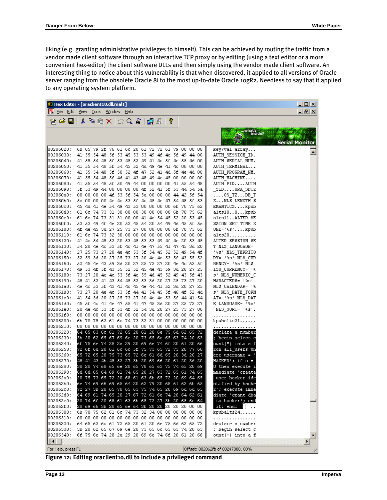liking (e.g. granting administrative privileges to himself). This can be achieved by routing the traffic from a vendor made client software through an interactive TCP proxy or by editing (using a text editor or a more convenient hex-editor) the client software DLLs and then simply using the vendor made client software. An interesting thing to notice about this vulnerability is that when discovered, it applied to all versions of Oracle server ranging from the obsolete Oracle 8i to the most up-to-date Oracle 10gR2. Needless to say that it applied to any operating system platform.

| Hex Editor - [oraclient10.dll.mal1] \ |  |                        |  |  |  |   |                                                                                                    |  | ᆜᄆᄌ                                           |
|---------------------------------------|--|------------------------|--|--|--|---|----------------------------------------------------------------------------------------------------|--|-----------------------------------------------|
| Eile<br>Edit                          |  | View Tools Window Help |  |  |  |   |                                                                                                    |  | <u>_  리 ×  </u>                               |
| c<br>H                                |  | ∦ PD X X 2 Q & Q @     |  |  |  | P |                                                                                                    |  |                                               |
|                                       |  |                        |  |  |  |   |                                                                                                    |  | what's<br>inside?<br><b>Serial Monitor</b>    |
| 00206020:                             |  |                        |  |  |  |   | 6b 65 79 2f 76 61 6c 20 61 72 72 61 79 00 00 00                                                    |  | key/val array                                 |
| 00206030:                             |  |                        |  |  |  |   | 41 55 54 48 5f 53 45 53 53 49 4f 4e 5f 49 44 00                                                    |  | AUTH SESSION ID.                              |
| 00206040:                             |  |                        |  |  |  |   | 41 55 54 48 5f 53 45 52 49 41 4c 5f 4e 55 4d 00                                                    |  | AUTH_SERIAL_NUM.                              |
| 00206050:                             |  |                        |  |  |  |   | 41 55 54 48 5f 54 45 52 4d 49 4e 41 4c 00 00 00                                                    |  | AUTH TERMINAL                                 |
| 00206060:                             |  |                        |  |  |  |   | 41 55 54 48 5f 50 52 4f 47 52 41 4d 5f 4e 4d 00                                                    |  | AUTH PROGRAM NM.                              |
| 00206070:                             |  |                        |  |  |  |   | 41 55 54 48 5f 4d 41 43 48 49 4e 45 00 00 00 00                                                    |  | AUTH MACHINE                                  |
| 00206080:<br>00206090:                |  |                        |  |  |  |   | 41 55 54 48 5f 50 49 44 00 00 00 00 41 55 54 48<br>5f 53 49 44 00 00 00 00 4f 52 4l 5f 53 44 54 5a |  | AUTH PIDAUTH<br>SIDORA SDTZ                   |
| 002060a0:                             |  |                        |  |  |  |   | 00 00 00 00 4f 53 5f 54 5a 00 00 00 44 42 5f 54                                                    |  | $\ldots$ .0S_TZDB_T                           |
| 002060b0:                             |  |                        |  |  |  |   | 5a 00 00 00 4e 4c 53 5f 4c 45 4e 47 54 48 5f 53                                                    |  | ZNLS_LENGTH_S                                 |
| 002060c0:                             |  |                        |  |  |  |   | 45 4d 41 4e 54 49 43 53 00 00 00 00 6b 70 75 62                                                    |  | EMANTICSkpub                                  |
| 002060d0 <b>:</b>                     |  |                        |  |  |  |   | 61 6c 74 73 31 30 00 00 30 00 00 00 6b 70 75 62                                                    |  | alts100kpub                                   |
| 002060e0:                             |  |                        |  |  |  |   | 61 6c 74 73 31 31 00 00 41 4c 54 45 52 20 53 45                                                    |  | altsllALTER SE                                |
| 002060f0:                             |  |                        |  |  |  |   | 53 53 49 4f 4e 20 53 45 54 20 54 49 4d 45 5f 5a                                                    |  | SSION SET TIME Z                              |
| 00206100:                             |  |                        |  |  |  |   | 4f 4e 45 3d 27 25 73 27 00 00 00 00 6b 70 75 62                                                    |  | $0$ NE=' $\texttt{\$s}'.$ kpub                |
| 00206110:                             |  |                        |  |  |  |   | 61 6c 74 73 32 30 00 00 00 00 00 00 00 00 00 00 00                                                 |  | alts20                                        |
| 00206120:                             |  |                        |  |  |  |   | 41 4c 54 45 52 20 53 45 53 53 49 4f 4e 20 53 45                                                    |  | ALTER SESSION SE                              |
| 00206130:                             |  |                        |  |  |  |   | 54 20 4e 4c 53 5f 4c 41 4e 47 55 41 47 45 3d 20                                                    |  | T NLS LANGUAGE=                               |
| 00206140:                             |  |                        |  |  |  |   | 27 25 73 27 20 4e 4c 53 5f 54 45 52 52 49 54 4f                                                    |  | '%s' NLS TERRITO                              |
| 00206150:                             |  |                        |  |  |  |   | 52 59 3d 20 27 25 73 27 20 4e 4c 53 5f 43 55 52                                                    |  | RY= '%s' NLS CUR                              |
| 00206160:                             |  |                        |  |  |  |   | 52 45 4e 43 59 3d 20 27 25 73 27 20 4e 4c 53 5f                                                    |  | $REMCY = \frac{1}{2}S'$ NLS                   |
| 00206170:<br>00206180:                |  |                        |  |  |  |   | 49 53 4f 5f 43 55 52 52 45 4e 43 59 3d 20 27 25                                                    |  | ISO CURRENCY= '%                              |
| 00206190:                             |  |                        |  |  |  |   | 73 27 20 4e 4c 53 5f 4e 55 4d 45 52 49 43 5f 43<br>48 41 52 41 43 54 45 52 53 3d 20 27 25 73 27 20 |  | s' NLS NUMERIC C<br>$HARACTERS = \pm \$s \pm$ |
| 002061a0:                             |  |                        |  |  |  |   | 4e 4c 53 5f 43 41 4c 45 4e 44 41 52 3d 20 27 25                                                    |  | NLS CALENDAR= '%                              |
| 002061b0:                             |  |                        |  |  |  |   | 73 27 20 4e 4c 53 5f 44 41 54 45 5f 46 4f 52 4d                                                    |  | s' NLS DATE FORM                              |
| 002061c0:                             |  |                        |  |  |  |   | 41 54 3d 20 27 25 73 27 20 4e 4c 53 5f 44 41 54                                                    |  | AT= '%s' NLS DAT                              |
| 002061d0:                             |  |                        |  |  |  |   | 45 5f 4c 4l 4e 47 55 4l 47 45 3d 20 27 25 73 27                                                    |  | E LANGUAGE= '%s'                              |
| 002061e0:                             |  |                        |  |  |  |   | 20 4e 4c 53 5f 53 4f 52 54 3d 20 27 25 73 27 00                                                    |  | $NLS$ SORT= $1*st$ .                          |
| 002061f0:                             |  |                        |  |  |  |   |                                                                                                    |  | .                                             |
| 00206200:                             |  |                        |  |  |  |   | 6b 70 75 62 61 6c 74 73 32 31 00 00 00 00 00 00                                                    |  | kpubalts21                                    |
| 00206210:                             |  |                        |  |  |  |   |                                                                                                    |  | .                                             |
| 00206220:                             |  |                        |  |  |  |   | 64   65   63   6c   61   72   65   20   61   20   6e   75   6d   62   65   72                      |  | declare a number                              |
| 00206230:                             |  |                        |  |  |  |   | 3b 20 62 65 67 69 6e 20 73 65 6c 65 63 74 20 63                                                    |  | ; begin select c                              |
| 00206240:                             |  |                        |  |  |  |   | 6f 75 6e 74 28 2a 29 20 69 6e 74 6f 20 61 20 66                                                    |  | ount(*) into a f                              |
| 00206250:<br>00206260:                |  |                        |  |  |  |   | 72 6f 6d 20 6l 6c 6c 5f 75 73 65 72 73 20 77 68<br>65 72 65 20 75 73 65 72 6e 61 6d 65 20 3d 20 27 |  | rom all users wh<br>ere username =            |
| 00206270:                             |  |                        |  |  |  |   | 48 41 43 4b 45 52 27 3b 20 69 66 20 61 20 3d 20                                                    |  | HACKER'; if a =                               |
| 00206280:                             |  |                        |  |  |  |   | 30 20 74 68 65 6e 20 65 78 65 63 75 74 65 20 69                                                    |  | 0 then execute i                              |
| 00206290:                             |  |                        |  |  |  |   | 6d 6d 65 64 69 61 74 65 20 27 63 72 65 61 74 65                                                    |  | mmediate 'create                              |
| 002062a0:                             |  |                        |  |  |  |   | 20 75 73 65 72 20 68 61 63 6b 65 72 20 69 64 65                                                    |  | user hacker ide                               |
| 002062b0:                             |  |                        |  |  |  |   | 6e 74 69 66 69 65 64 20 62 79 20 68 61 63 6b 65                                                    |  | ntified by hacke                              |
| 002062c0:                             |  |                        |  |  |  |   | 72 27 3b 20 65 78 65 63 75 74 65 20 69 6d 6d 65                                                    |  | r'; execute imme                              |
| l002062d0:                            |  |                        |  |  |  |   | 64 69 61 74 65 20 27 67 72 61 6e 74 20 64 62 61                                                    |  | diate 'grant dba                              |
| 002062e0:                             |  |                        |  |  |  |   | 20 74 6f 20 68 61 63 6b 65 72 27 3b 20 65 6e 64                                                    |  | to hacker'; end                               |
| 002062f0:                             |  |                        |  |  |  |   | 20 69 66 3b 20 65 6e 64 3b 20 20 20 20 20 00 00                                                    |  | if; end; $\blacksquare$                       |
| 00206300:                             |  |                        |  |  |  |   | 6b 70 75 62 61 6c 74 73 32 34 00 00 00 00 00 00                                                    |  | kpubalts24                                    |
| 00206310:<br>loo2o6320:               |  |                        |  |  |  |   |                                                                                                    |  | .                                             |
| 00206330:                             |  |                        |  |  |  |   | 64 65 63 6c 61 72 65 20 61 20 6e 75 6d 62 65 72<br>3b 20 62 65 67 69 6e 20 73 65 6c 65 63 74 20 63 |  | declare a number                              |
| 00206340:                             |  |                        |  |  |  |   | 6f 75 6e 74 28 2a 29 20 69 6e 74 6f 20 61 20 66                                                    |  | ; begin select c<br>ount(*) into a f          |
| $  \cdot  $                           |  |                        |  |  |  |   |                                                                                                    |  |                                               |
|                                       |  |                        |  |  |  |   |                                                                                                    |  |                                               |
| For Help, press F1                    |  |                        |  |  |  |   |                                                                                                    |  | Offset: 002062fb of 00247000, 88%             |

**Figure 12: Editing oraclient10.dll to include a privileged command**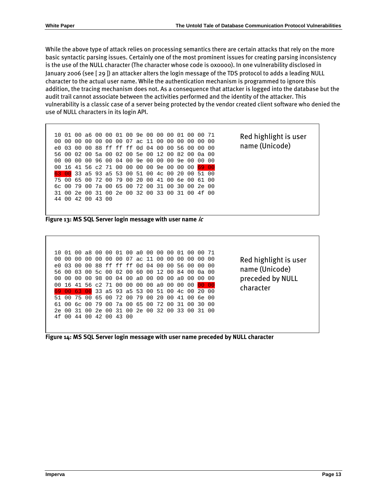While the above type of attack relies on processing semantics there are certain attacks that rely on the more basic syntactic parsing issues. Certainly one of the most prominent issues for creating parsing inconsistency is the use of the NULL character (The character whose code is 0x0000). In one vulnerability disclosed in January 2006 (see [\[ 29 \]\)](#page-15-25) an attacker alters the login message of the TDS protocol to adds a leading NULL character to the actual user name. While the authentication mechanism is programmed to ignore this addition, the tracing mechanism does not. As a consequence that attacker is logged into the database but the audit trail cannot associate between the activities performed and the identity of the attacker. This vulnerability is a classic case of a server being protected by the vendor created client software who denied the use of NULL characters in its login API.



**Figure 13: MS SQL Server login message with user name ic** 

|     | 01  | n n   |     |     |       |       | .88.00.00.01.00.80.00.00.00         |    |    |             |     | . በ 1           | . വ   | n n   |      |
|-----|-----|-------|-----|-----|-------|-------|-------------------------------------|----|----|-------------|-----|-----------------|-------|-------|------|
| O O | 00  | 00.   | 00. | 00. |       |       | 00 00 07 ac 11 00 00                |    |    |             |     | n n             | . N.O | . N.O | . വ  |
| e0  | በ ? | 00    | 00  |     |       |       | 88 ff ff ff 0d 04 00                |    |    |             | O O | 56              | . N.O | . വ   | . വ  |
| 56. | 00  | 03    |     |     |       |       | 00 5c 00 02 00 60 00 12             |    |    |             | ററ  | 84              | ററ    | 0a 00 |      |
| 00  | 00  | ററ    |     |     |       |       | 00 98 00 04 00 a0 00 00             |    |    |             | ററ  | an              | ററ    | . വ   | ∩∩   |
|     |     |       |     |     |       |       | 00 16 41 56 c2 71 00 00 00 00 a0 00 |    |    |             |     | 00 <sup>1</sup> | 00    |       |      |
|     |     | $-63$ | 00  |     |       |       | 33 a5 93 a5 53 00 51 00 4c          |    |    |             |     |                 | 00.   | 20    | _റ റ |
|     |     | 75    | n n | 65  |       | 00 72 | n n                                 | 79 | 00 | 20          | ററ  | 41              | n n   | 6e    | . വ  |
| 61  | . വ |       |     |     |       |       | 6c 00 79 00 7a 00 65 00 72 00 31    |    |    |             |     |                 | . വ   | 30    | . വ  |
| 2e  | 00  | 31    | n n | 2e  | . വ   | -31   | 00 O                                |    |    | 2e 00 32 00 |     | 33              | . വ   | 31    | . വ  |
| 4 f | n n | 44    | 00. |     | 42.00 | 43 00 |                                     |    |    |             |     |                 |       |       |      |
|     |     |       |     |     |       |       |                                     |    |    |             |     |                 |       |       |      |
|     |     |       |     |     |       |       |                                     |    |    |             |     |                 |       |       |      |

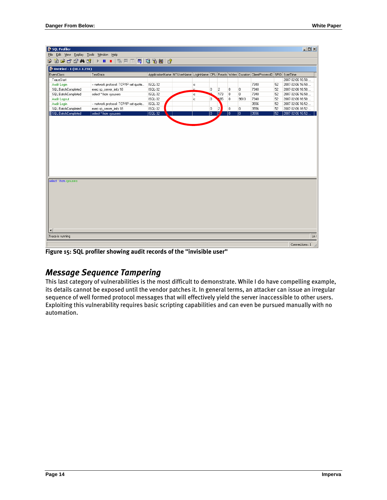| 50L Profiler                                   |                                       |         |                                                                                               |   |                |                |                |      |    | $\Box$            |  |  |  |  |  |
|------------------------------------------------|---------------------------------------|---------|-----------------------------------------------------------------------------------------------|---|----------------|----------------|----------------|------|----|-------------------|--|--|--|--|--|
| File Edit View Replay Tools Window Help        |                                       |         |                                                                                               |   |                |                |                |      |    |                   |  |  |  |  |  |
| 廖<br>省序后留前区                                    |                                       |         |                                                                                               |   |                |                |                |      |    |                   |  |  |  |  |  |
| Untitled - 1 (10.1.1.231)                      |                                       |         |                                                                                               |   |                |                |                |      |    |                   |  |  |  |  |  |
| EventClass                                     | TextData                              |         | ApplicationName NTUserName LoginName CPU Reads Writes Duration ClientProcessID SPID StartTime |   |                |                |                |      |    |                   |  |  |  |  |  |
| TraceStart                                     |                                       |         |                                                                                               |   |                |                |                |      |    | 2007-02-06 16:50: |  |  |  |  |  |
| Audit Login                                    | -- network protocol: TCP/IP set quote | ISQL-32 | ic                                                                                            |   |                |                |                | 7340 | 52 | 2007-02-06 16:50: |  |  |  |  |  |
| SQL:BatchCompleted                             | exec sp_server_info 18                | ISQL-32 | ie.                                                                                           | 0 | $\overline{c}$ | $\overline{0}$ | 0              | 7340 | 52 | 2007-02-06 16:50  |  |  |  |  |  |
| SQL:BatchCompleted                             | select * from sysusers                | ISQL-32 | ic                                                                                            |   | 173            | $\overline{0}$ | 0              | 7340 | 52 | 2007-02-06 16:50: |  |  |  |  |  |
| Audit Logout                                   |                                       | ISQL-32 | ic.                                                                                           | 0 | 185            | $\overline{0}$ | 9610           | 7340 | 52 | 2007-02-06 16:50: |  |  |  |  |  |
| Audit Login                                    | -- network protocol: TCP/IP set quote | ISQL-32 |                                                                                               |   |                |                |                | 3556 | 52 | 2007-02-06 16:52  |  |  |  |  |  |
| SQL:BatchCompleted                             | exec sp_server_info 18                | ISOL-32 |                                                                                               | 0 | $\overline{c}$ | $\overline{0}$ | $\overline{0}$ | 3556 | 52 | 2007-02-06 16:52  |  |  |  |  |  |
| SQL:BatchCompleted                             | select * from sysusers                | ISQL-32 |                                                                                               | ō | 12             | ⊺о             | lo.            | 3556 | 52 | 2007-02-06 16:52  |  |  |  |  |  |
|                                                |                                       |         |                                                                                               |   |                |                |                |      |    |                   |  |  |  |  |  |
| select * from sysusers<br>$\blacktriangleleft$ |                                       |         |                                                                                               |   |                |                |                |      |    |                   |  |  |  |  |  |
| Trace is running                               |                                       |         |                                                                                               |   |                |                |                |      |    | $Ln \ell$         |  |  |  |  |  |
|                                                |                                       |         |                                                                                               |   |                |                |                |      |    | Connections: 1    |  |  |  |  |  |

**Figure 15: SQL profiler showing audit records of the "invisible user"** 

### *Message Sequence Tampering*

This last category of vulnerabilities is the most difficult to demonstrate. While I do have compelling example, its details cannot be exposed until the vendor patches it. In general terms, an attacker can issue an irregular sequence of well formed protocol messages that will effectively yield the server inaccessible to other users. Exploiting this vulnerability requires basic scripting capabilities and can even be pursued manually with no automation.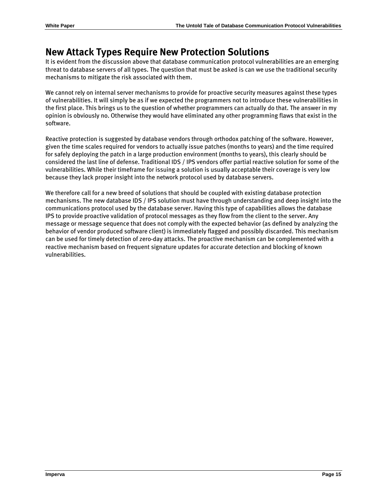## **New Attack Types Require New Protection Solutions**

It is evident from the discussion above that database communication protocol vulnerabilities are an emerging threat to database servers of all types. The question that must be asked is can we use the traditional security mechanisms to mitigate the risk associated with them.

We cannot rely on internal server mechanisms to provide for proactive security measures against these types of vulnerabilities. It will simply be as if we expected the programmers not to introduce these vulnerabilities in the first place. This brings us to the question of whether programmers can actually do that. The answer in my opinion is obviously no. Otherwise they would have eliminated any other programming flaws that exist in the software.

Reactive protection is suggested by database vendors through orthodox patching of the software. However, given the time scales required for vendors to actually issue patches (months to years) and the time required for safely deploying the patch in a large production environment (months to years), this clearly should be considered the last line of defense. Traditional IDS / IPS vendors offer partial reactive solution for some of the vulnerabilities. While their timeframe for issuing a solution is usually acceptable their coverage is very low because they lack proper insight into the network protocol used by database servers.

We therefore call for a new breed of solutions that should be coupled with existing database protection mechanisms. The new database IDS / IPS solution must have through understanding and deep insight into the communications protocol used by the database server. Having this type of capabilities allows the database IPS to provide proactive validation of protocol messages as they flow from the client to the server. Any message or message sequence that does not comply with the expected behavior (as defined by analyzing the behavior of vendor produced software client) is immediately flagged and possibly discarded. This mechanism can be used for timely detection of zero-day attacks. The proactive mechanism can be complemented with a reactive mechanism based on frequent signature updates for accurate detection and blocking of known vulnerabilities.